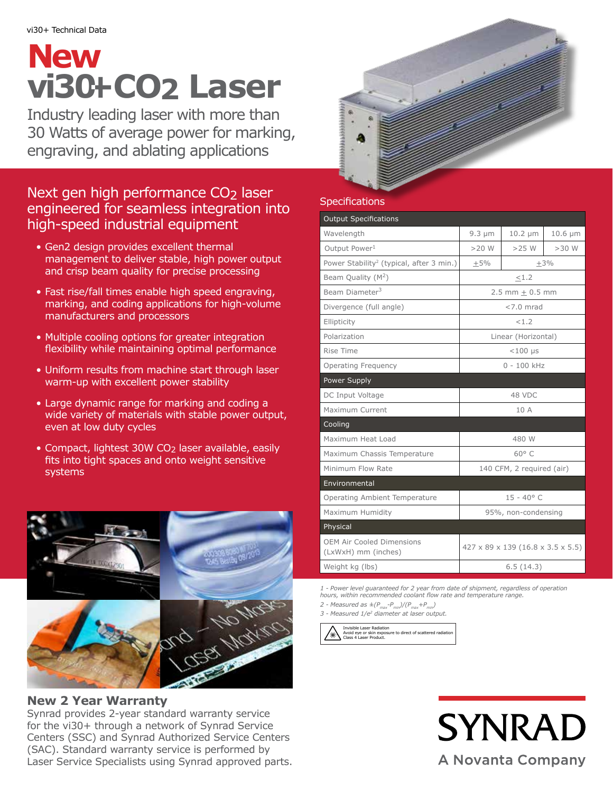# **vi30+CO2 Laser New**

Industry leading laser with more than 30 Watts of average power for marking, engraving, and ablating applications

# Next gen high performance CO<sub>2</sub> laser engineered for seamless integration into high-speed industrial equipment

- Gen2 design provides excellent thermal management to deliver stable, high power output and crisp beam quality for precise processing
- Fast rise/fall times enable high speed engraving, marking, and coding applications for high-volume manufacturers and processors
- Multiple cooling options for greater integration flexibility while maintaining optimal performance
- Uniform results from machine start through laser warm-up with excellent power stability
- Large dynamic range for marking and coding a wide variety of materials with stable power output, even at low duty cycles
- Compact, lightest 30W CO<sub>2</sub> laser available, easily fits into tight spaces and onto weight sensitive systems



### **New 2 Year Warranty**

Synrad provides 2-year standard warranty service for the vi30+ through a network of Synrad Service Centers (SSC) and Synrad Authorized Service Centers (SAC). Standard warranty service is performed by Laser Service Specialists using Synrad approved parts.

# **Specifications**

| <b>Output Specifications</b>                            |                                   |              |              |
|---------------------------------------------------------|-----------------------------------|--------------|--------------|
| Wavelength                                              | $9.3 \mu m$                       | $10.2 \mu m$ | $10.6 \mu m$ |
| Output Power <sup>1</sup>                               | $>20$ W                           | $>25$ W      | $>30$ W      |
| Power Stability <sup>2</sup> (typical, after 3 min.)    | $+3%$<br>$+5%$                    |              |              |
| Beam Quality $(M^2)$                                    | <1.2                              |              |              |
| Beam Diameter <sup>3</sup>                              | $2.5$ mm + 0.5 mm                 |              |              |
| Divergence (full angle)                                 | $< 7.0$ mrad                      |              |              |
| Ellipticity                                             | < 1.2                             |              |              |
| Polarization                                            | Linear (Horizontal)               |              |              |
| Rise Time                                               | $<$ 100 µs                        |              |              |
| Operating Frequency                                     | $0 - 100$ kHz                     |              |              |
| Power Supply                                            |                                   |              |              |
| DC Input Voltage                                        | 48 VDC                            |              |              |
| Maximum Current                                         | 10 A                              |              |              |
| Cooling                                                 |                                   |              |              |
| Maximum Heat Load                                       | 480 W                             |              |              |
| Maximum Chassis Temperature                             | $60^{\circ}$ C                    |              |              |
| Minimum Flow Rate                                       | 140 CFM, 2 required (air)         |              |              |
| Environmental                                           |                                   |              |              |
| Operating Ambient Temperature                           | $15 - 40^{\circ}$ C               |              |              |
| Maximum Humidity                                        | 95%, non-condensing               |              |              |
| Physical                                                |                                   |              |              |
| <b>OEM Air Cooled Dimensions</b><br>(LxWxH) mm (inches) | 427 x 89 x 139 (16.8 x 3.5 x 5.5) |              |              |
| Weight kg (lbs)                                         | 6.5(14.3)                         |              |              |

*1 - Power level guaranteed for 2 year from date of shipment, regardless of operation hours, within recommended coolant flow rate and temperature range. 2 - Measured as*  $\pm (P_{max}-P_{min})/(P_{max}+P_{min})$ 

*3 - Measured 1/e2 diameter at laser output.*